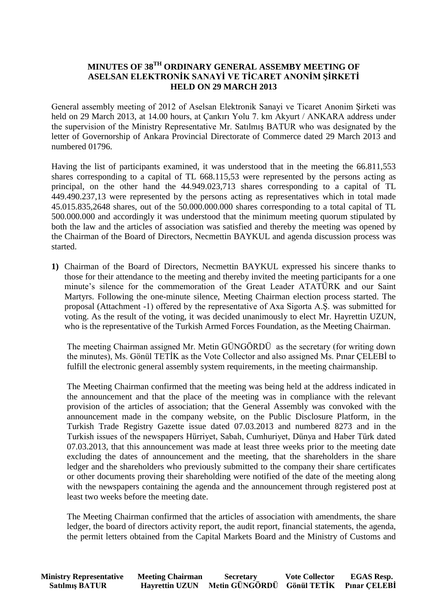## **MINUTES OF 38TH ORDINARY GENERAL ASSEMBY MEETING OF ASELSAN ELEKTRONİK SANAYİ VE TİCARET ANONİM ŞİRKETİ HELD ON 29 MARCH 2013**

General assembly meeting of 2012 of Aselsan Elektronik Sanayi ve Ticaret Anonim Şirketi was held on 29 March 2013, at 14.00 hours, at Çankırı Yolu 7. km Akyurt / ANKARA address under the supervision of the Ministry Representative Mr. Satılmış BATUR who was designated by the letter of Governorship of Ankara Provincial Directorate of Commerce dated 29 March 2013 and numbered 01796.

Having the list of participants examined, it was understood that in the meeting the 66.811,553 shares corresponding to a capital of TL 668.115,53 were represented by the persons acting as principal, on the other hand the 44.949.023,713 shares corresponding to a capital of TL 449.490.237,13 were represented by the persons acting as representatives which in total made 45.015.835,2648 shares, out of the 50.000.000.000 shares corresponding to a total capital of TL 500.000.000 and accordingly it was understood that the minimum meeting quorum stipulated by both the law and the articles of association was satisfied and thereby the meeting was opened by the Chairman of the Board of Directors, Necmettin BAYKUL and agenda discussion process was started.

**1)** Chairman of the Board of Directors, Necmettin BAYKUL expressed his sincere thanks to those for their attendance to the meeting and thereby invited the meeting participants for a one minute's silence for the commemoration of the Great Leader ATATÜRK and our Saint Martyrs. Following the one-minute silence, Meeting Chairman election process started. The proposal (Attachment -1) offered by the representative of Axa Sigorta A.Ş. was submitted for voting. As the result of the voting, it was decided unanimously to elect Mr. Hayrettin UZUN, who is the representative of the Turkish Armed Forces Foundation, as the Meeting Chairman.

The meeting Chairman assigned Mr. Metin GÜNGÖRDÜ as the secretary (for writing down the minutes), Ms. Gönül TETİK as the Vote Collector and also assigned Ms. Pınar ÇELEBİ to fulfill the electronic general assembly system requirements, in the meeting chairmanship.

The Meeting Chairman confirmed that the meeting was being held at the address indicated in the announcement and that the place of the meeting was in compliance with the relevant provision of the articles of association; that the General Assembly was convoked with the announcement made in the company website, on the Public Disclosure Platform, in the Turkish Trade Registry Gazette issue dated 07.03.2013 and numbered 8273 and in the Turkish issues of the newspapers Hürriyet, Sabah, Cumhuriyet, Dünya and Haber Türk dated 07.03.2013, that this announcement was made at least three weeks prior to the meeting date excluding the dates of announcement and the meeting, that the shareholders in the share ledger and the shareholders who previously submitted to the company their share certificates or other documents proving their shareholding were notified of the date of the meeting along with the newspapers containing the agenda and the announcement through registered post at least two weeks before the meeting date.

The Meeting Chairman confirmed that the articles of association with amendments, the share ledger, the board of directors activity report, the audit report, financial statements, the agenda, the permit letters obtained from the Capital Markets Board and the Ministry of Customs and

| <b>Ministry Representative</b> | <b>Meeting Chairman</b> | <b>Secretary</b>                        | <b>Vote Collector</b> | <b>EGAS Resp.</b> |
|--------------------------------|-------------------------|-----------------------------------------|-----------------------|-------------------|
| <b>Satılmış BATUR</b>          | <b>Hayrettin UZUN</b>   | Metin GÜNGÖRDÜ Gönül TETİK Pınar ÇELEBİ |                       |                   |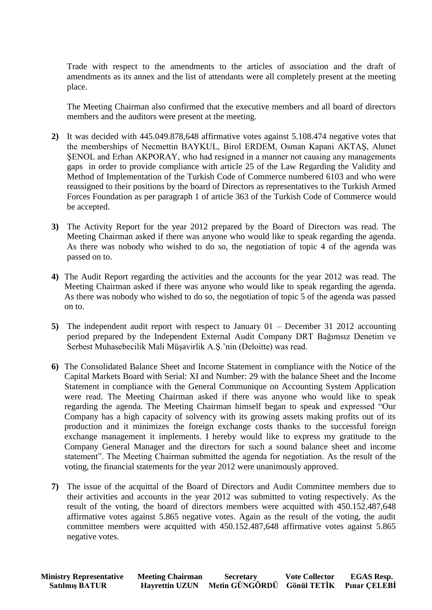Trade with respect to the amendments to the articles of association and the draft of amendments as its annex and the list of attendants were all completely present at the meeting place.

The Meeting Chairman also confirmed that the executive members and all board of directors members and the auditors were present at the meeting.

- **2)** It was decided with 445.049.878,648 affirmative votes against 5.108.474 negative votes that the memberships of Necmettin BAYKUL, Birol ERDEM, Osman Kapani AKTAŞ, Ahmet ŞENOL and Erhan AKPORAY, who had resigned in a manner not causing any managements gaps in order to provide compliance with article 25 of the Law Regarding the Validity and Method of Implementation of the Turkish Code of Commerce numbered 6103 and who were reassigned to their positions by the board of Directors as representatives to the Turkish Armed Forces Foundation as per paragraph 1 of article 363 of the Turkish Code of Commerce would be accepted.
- **3)** The Activity Report for the year 2012 prepared by the Board of Directors was read. The Meeting Chairman asked if there was anyone who would like to speak regarding the agenda. As there was nobody who wished to do so, the negotiation of topic 4 of the agenda was passed on to.
- **4)** The Audit Report regarding the activities and the accounts for the year 2012 was read. The Meeting Chairman asked if there was anyone who would like to speak regarding the agenda. As there was nobody who wished to do so, the negotiation of topic 5 of the agenda was passed on to.
- **5)** The independent audit report with respect to January 01 December 31 2012 accounting period prepared by the Independent External Audit Company DRT Bağımsız Denetim ve Serbest Muhasebecilik Mali Müşavirlik A.Ş.'nin (Deloitte) was read.
- **6)** The Consolidated Balance Sheet and Income Statement in compliance with the Notice of the Capital Markets Board with Serial: XI and Number: 29 with the balance Sheet and the Income Statement in compliance with the General Communique on Accounting System Application were read. The Meeting Chairman asked if there was anyone who would like to speak regarding the agenda. The Meeting Chairman himself began to speak and expressed "Our Company has a high capacity of solvency with its growing assets making profits out of its production and it minimizes the foreign exchange costs thanks to the successful foreign exchange management it implements. I hereby would like to express my gratitude to the Company General Manager and the directors for such a sound balance sheet and income statement". The Meeting Chairman submitted the agenda for negotiation. As the result of the voting, the financial statements for the year 2012 were unanimously approved.
- **7)** The issue of the acquittal of the Board of Directors and Audit Committee members due to their activities and accounts in the year 2012 was submitted to voting respectively. As the result of the voting, the board of directors members were acquitted with 450.152.487,648 affirmative votes against 5.865 negative votes. Again as the result of the voting, the audit committee members were acquitted with 450.152.487,648 affirmative votes against 5.865 negative votes.

| <b>Ministry Representative</b> | <b>Meeting Chairman</b> | <b>Secretary</b>                        | <b>Vote Collector</b> | <b>EGAS Resp.</b> |
|--------------------------------|-------------------------|-----------------------------------------|-----------------------|-------------------|
| <b>Satılmış BATUR</b>          | <b>Hayrettin UZUN</b>   | Metin GÜNGÖRDÜ Gönül TETİK Pınar CELEBİ |                       |                   |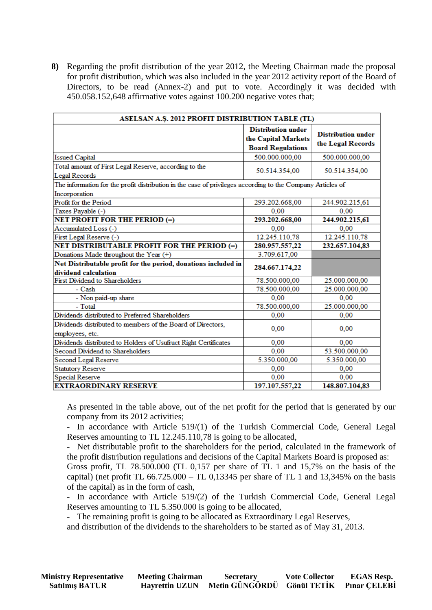**8)** Regarding the profit distribution of the year 2012, the Meeting Chairman made the proposal for profit distribution, which was also included in the year 2012 activity report of the Board of Directors, to be read (Annex-2) and put to vote. Accordingly it was decided with 450.058.152,648 affirmative votes against 100.200 negative votes that;

|                                                                                                            | ASELSAN A.Ş. 2012 PROFIT DISTRIBUTION TABLE (TL)                             |                                                |  |  |  |
|------------------------------------------------------------------------------------------------------------|------------------------------------------------------------------------------|------------------------------------------------|--|--|--|
|                                                                                                            | <b>Distribution under</b><br>the Capital Markets<br><b>Board Regulations</b> | <b>Distribution under</b><br>the Legal Records |  |  |  |
| <b>Issued Capital</b>                                                                                      | 500.000.000.00                                                               | 500.000.000.00                                 |  |  |  |
| Total amount of First Legal Reserve, according to the<br>Legal Records                                     | 50.514.354,00                                                                | 50.514.354,00                                  |  |  |  |
| The information for the profit distribution in the case of privileges according to the Company Articles of |                                                                              |                                                |  |  |  |
| Incorporation                                                                                              |                                                                              |                                                |  |  |  |
| Profit for the Period                                                                                      | 293.202.668,00                                                               | 244.902.215,61                                 |  |  |  |
| Taxes Payable (-)                                                                                          | 0,00                                                                         | 0,00                                           |  |  |  |
| <b>NET PROFIT FOR THE PERIOD (=)</b>                                                                       | 293.202.668,00                                                               | 244.902.215,61                                 |  |  |  |
| Accumulated Loss (-)                                                                                       | 0,00                                                                         | 0,00<br>12.245.110,78                          |  |  |  |
| First Legal Reserve (-)                                                                                    | 12.245.110,78                                                                |                                                |  |  |  |
| NET DISTRIBUTABLE PROFIT FOR THE PERIOD (=)                                                                | 280.957.557,22                                                               | 232.657.104,83                                 |  |  |  |
| Donations Made throughout the Year (+)                                                                     | 3.709.617,00                                                                 |                                                |  |  |  |
| Net Distributable profit for the period, donations included in<br>dividend calculation                     | 284.667.174,22                                                               |                                                |  |  |  |
| First Dividend to Shareholders                                                                             | 78.500.000,00                                                                | 25.000.000,00                                  |  |  |  |
| - Cash                                                                                                     | 78.500.000,00                                                                | 25.000.000,00                                  |  |  |  |
| - Non paid-up share                                                                                        | 0,00                                                                         | 0,00                                           |  |  |  |
| - Total                                                                                                    | 78.500.000,00                                                                | 25.000.000,00                                  |  |  |  |
| Dividends distributed to Preferred Shareholders                                                            | 0,00                                                                         | 0.00                                           |  |  |  |
| Dividends distributed to members of the Board of Directors,<br>employees, etc.                             | 0,00                                                                         | 0,00                                           |  |  |  |
| Dividends distributed to Holders of Usufruct Right Certificates                                            | 0,00                                                                         | 0,00                                           |  |  |  |
| Second Dividend to Shareholders                                                                            | 0,00                                                                         | 53.500.000,00                                  |  |  |  |
| Second Legal Reserve                                                                                       | 5.350.000,00                                                                 | 5.350.000,00                                   |  |  |  |
| <b>Statutory Reserve</b>                                                                                   | 0,00                                                                         | 0,00                                           |  |  |  |
| <b>Special Reserve</b>                                                                                     | 0,00                                                                         | 0,00                                           |  |  |  |
| <b>EXTRAORDINARY RESERVE</b><br>197.107.557,22<br>148.807.104,83                                           |                                                                              |                                                |  |  |  |

As presented in the table above, out of the net profit for the period that is generated by our company from its 2012 activities;

- In accordance with Article 519/(1) of the Turkish Commercial Code, General Legal Reserves amounting to TL 12.245.110,78 is going to be allocated,

- Net distributable profit to the shareholders for the period, calculated in the framework of the profit distribution regulations and decisions of the Capital Markets Board is proposed as:

Gross profit, TL 78.500.000 (TL 0,157 per share of TL 1 and 15,7% on the basis of the capital) (net profit TL  $66.725.000 -$ TL 0,13345 per share of TL 1 and 13,345% on the basis of the capital) as in the form of cash,

- In accordance with Article 519/(2) of the Turkish Commercial Code, General Legal Reserves amounting to TL 5.350.000 is going to be allocated,

- The remaining profit is going to be allocated as Extraordinary Legal Reserves,

and distribution of the dividends to the shareholders to be started as of May 31, 2013.

| <b>Ministry Representative</b><br><b>Satılmış BATUR</b> | <b>Meeting Chairman</b><br><b>Hayrettin UZUN</b> | <b>Secretary</b><br>Metin GÜNGÖRDÜ Gönül TETİK Pınar ÇELEBİ | <b>Vote Collector</b> | <b>EGAS Resp.</b> |
|---------------------------------------------------------|--------------------------------------------------|-------------------------------------------------------------|-----------------------|-------------------|
|                                                         |                                                  |                                                             |                       |                   |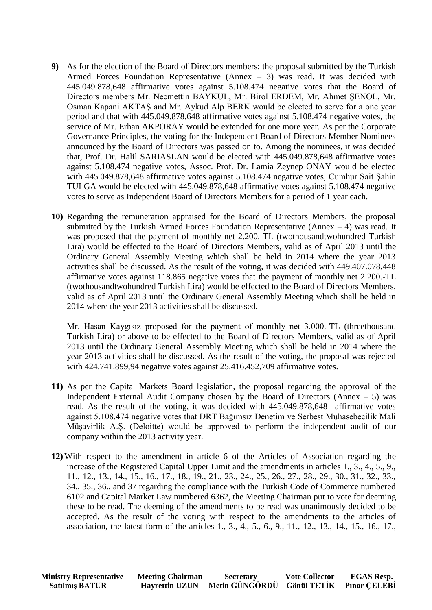- **9)** As for the election of the Board of Directors members; the proposal submitted by the Turkish Armed Forces Foundation Representative (Annex – 3) was read. It was decided with 445.049.878,648 affirmative votes against 5.108.474 negative votes that the Board of Directors members Mr. Necmettin BAYKUL, Mr. Birol ERDEM, Mr. Ahmet ŞENOL, Mr. Osman Kapani AKTAŞ and Mr. Aykud Alp BERK would be elected to serve for a one year period and that with 445.049.878,648 affirmative votes against 5.108.474 negative votes, the service of Mr. Erhan AKPORAY would be extended for one more year. As per the Corporate Governance Principles, the voting for the Independent Board of Directors Member Nominees announced by the Board of Directors was passed on to. Among the nominees, it was decided that, Prof. Dr. Halil SARIASLAN would be elected with 445.049.878,648 affirmative votes against 5.108.474 negative votes, Assoc. Prof. Dr. Lamia Zeynep ONAY would be elected with 445.049.878,648 affirmative votes against 5.108.474 negative votes, Cumhur Sait Şahin TULGA would be elected with 445.049.878,648 affirmative votes against 5.108.474 negative votes to serve as Independent Board of Directors Members for a period of 1 year each.
- **10)** Regarding the remuneration appraised for the Board of Directors Members, the proposal submitted by the Turkish Armed Forces Foundation Representative (Annex  $-4$ ) was read. It was proposed that the payment of monthly net 2.200.-TL (twothousandtwohundred Turkish Lira) would be effected to the Board of Directors Members, valid as of April 2013 until the Ordinary General Assembly Meeting which shall be held in 2014 where the year 2013 activities shall be discussed. As the result of the voting, it was decided with 449.407.078,448 affirmative votes against 118.865 negative votes that the payment of monthly net 2.200.-TL (twothousandtwohundred Turkish Lira) would be effected to the Board of Directors Members, valid as of April 2013 until the Ordinary General Assembly Meeting which shall be held in 2014 where the year 2013 activities shall be discussed.

Mr. Hasan Kaygısız proposed for the payment of monthly net 3.000.-TL (threethousand Turkish Lira) or above to be effected to the Board of Directors Members, valid as of April 2013 until the Ordinary General Assembly Meeting which shall be held in 2014 where the year 2013 activities shall be discussed. As the result of the voting, the proposal was rejected with 424.741.899,94 negative votes against 25.416.452,709 affirmative votes.

- **11)** As per the Capital Markets Board legislation, the proposal regarding the approval of the Independent External Audit Company chosen by the Board of Directors (Annex  $-5$ ) was read. As the result of the voting, it was decided with 445.049.878,648 affirmative votes against 5.108.474 negative votes that DRT Bağımsız Denetim ve Serbest Muhasebecilik Mali Müşavirlik A.Ş. (Deloitte) would be approved to perform the independent audit of our company within the 2013 activity year.
- **12)** With respect to the amendment in article 6 of the Articles of Association regarding the increase of the Registered Capital Upper Limit and the amendments in articles 1., 3., 4., 5., 9., 11., 12., 13., 14., 15., 16., 17., 18., 19., 21., 23., 24., 25., 26., 27., 28., 29., 30., 31., 32., 33., 34., 35., 36., and 37 regarding the compliance with the Turkish Code of Commerce numbered 6102 and Capital Market Law numbered 6362, the Meeting Chairman put to vote for deeming these to be read. The deeming of the amendments to be read was unanimously decided to be accepted. As the result of the voting with respect to the amendments to the articles of association, the latest form of the articles 1., 3., 4., 5., 6., 9., 11., 12., 13., 14., 15., 16., 17.,

| <b>Ministry Representative</b> | <b>Meeting Chairman</b> | <b>Secretary</b>                        | <b>Vote Collector</b> | <b>EGAS Resp.</b> |
|--------------------------------|-------------------------|-----------------------------------------|-----------------------|-------------------|
| <b>Satılmış BATUR</b>          | <b>Hayrettin UZUN</b>   | Metin GÜNGÖRDÜ Gönül TETİK Pınar CELEBİ |                       |                   |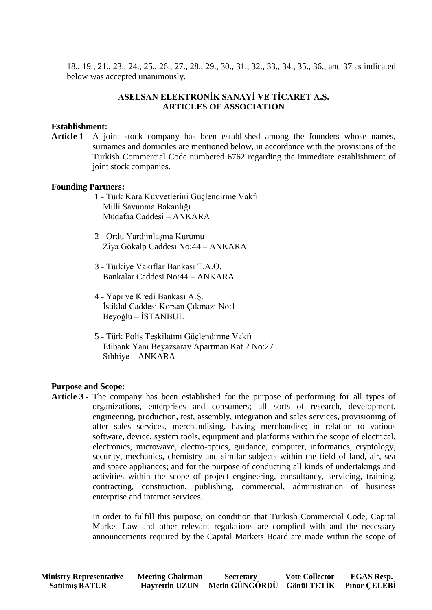18., 19., 21., 23., 24., 25., 26., 27., 28., 29., 30., 31., 32., 33., 34., 35., 36., and 37 as indicated below was accepted unanimously.

## **ASELSAN ELEKTRONİK SANAYİ VE TİCARET A.Ş. ARTICLES OF ASSOCIATION**

#### **Establishment:**

Article 1 – A joint stock company has been established among the founders whose names, surnames and domiciles are mentioned below, in accordance with the provisions of the Turkish Commercial Code numbered 6762 regarding the immediate establishment of joint stock companies.

#### **Founding Partners:**

- 1 Türk Kara Kuvvetlerini Güçlendirme Vakfı Milli Savunma Bakanlığı Müdafaa Caddesi – ANKARA
- 2 Ordu Yardımlaşma Kurumu Ziya Gökalp Caddesi No:44 – ANKARA
- 3 Türkiye Vakıflar Bankası T.A.O. Bankalar Caddesi No:44 – ANKARA
- 4 Yapı ve Kredi Bankası A.Ş. İstiklal Caddesi Korsan Çıkmazı No:1 Beyoğlu – İSTANBUL
- 5 Türk Polis Teşkilatını Güçlendirme Vakfı Etibank Yanı Beyazsaray Apartman Kat 2 No:27 Sıhhiye – ANKARA

#### **Purpose and Scope:**

**Article 3 -** The company has been established for the purpose of performing for all types of organizations, enterprises and consumers; all sorts of research, development, engineering, production, test, assembly, integration and sales services, provisioning of after sales services, merchandising, having merchandise; in relation to various software, device, system tools, equipment and platforms within the scope of electrical, electronics, microwave, electro-optics, guidance, computer, informatics, cryptology, security, mechanics, chemistry and similar subjects within the field of land, air, sea and space appliances; and for the purpose of conducting all kinds of undertakings and activities within the scope of project engineering, consultancy, servicing, training, contracting, construction, publishing, commercial, administration of business enterprise and internet services.

> In order to fulfill this purpose, on condition that Turkish Commercial Code, Capital Market Law and other relevant regulations are complied with and the necessary announcements required by the Capital Markets Board are made within the scope of

| <b>Ministry Representative</b> | <b>Meeting Chairman</b> | <b>Secretary</b>                        | <b>Vote Collector</b> | <b>EGAS Resp.</b> |
|--------------------------------|-------------------------|-----------------------------------------|-----------------------|-------------------|
| <b>Satılmış BATUR</b>          | <b>Hayrettin UZUN</b>   | Metin GÜNGÖRDÜ Gönül TETİK Pınar ÇELEBİ |                       |                   |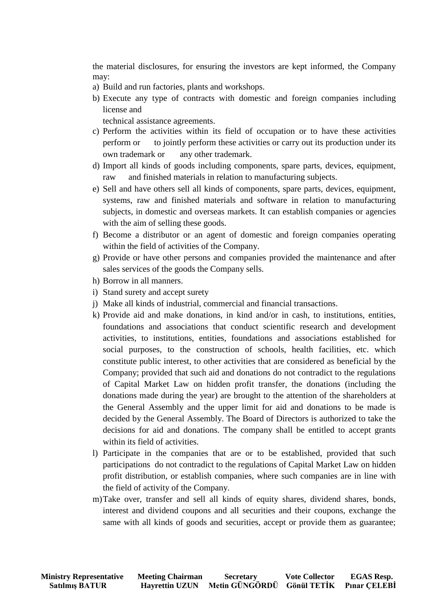the material disclosures, for ensuring the investors are kept informed, the Company may:

- a) Build and run factories, plants and workshops.
- b) Execute any type of contracts with domestic and foreign companies including license and

technical assistance agreements.

- c) Perform the activities within its field of occupation or to have these activities perform or to jointly perform these activities or carry out its production under its own trademark or any other trademark.
- d) Import all kinds of goods including components, spare parts, devices, equipment, raw and finished materials in relation to manufacturing subjects.
- e) Sell and have others sell all kinds of components, spare parts, devices, equipment, systems, raw and finished materials and software in relation to manufacturing subjects, in domestic and overseas markets. It can establish companies or agencies with the aim of selling these goods.
- f) Become a distributor or an agent of domestic and foreign companies operating within the field of activities of the Company.
- g) Provide or have other persons and companies provided the maintenance and after sales services of the goods the Company sells.
- h) Borrow in all manners.
- i) Stand surety and accept surety
- j) Make all kinds of industrial, commercial and financial transactions.
- k) Provide aid and make donations, in kind and/or in cash, to institutions, entities, foundations and associations that conduct scientific research and development activities, to institutions, entities, foundations and associations established for social purposes, to the construction of schools, health facilities, etc. which constitute public interest, to other activities that are considered as beneficial by the Company; provided that such aid and donations do not contradict to the regulations of Capital Market Law on hidden profit transfer, the donations (including the donations made during the year) are brought to the attention of the shareholders at the General Assembly and the upper limit for aid and donations to be made is decided by the General Assembly. The Board of Directors is authorized to take the decisions for aid and donations. The company shall be entitled to accept grants within its field of activities.
- l) Participate in the companies that are or to be established, provided that such participations do not contradict to the regulations of Capital Market Law on hidden profit distribution, or establish companies, where such companies are in line with the field of activity of the Company.
- m)Take over, transfer and sell all kinds of equity shares, dividend shares, bonds, interest and dividend coupons and all securities and their coupons, exchange the same with all kinds of goods and securities, accept or provide them as guarantee;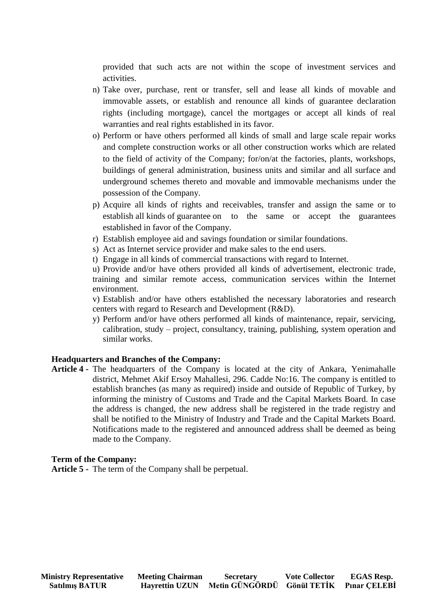provided that such acts are not within the scope of investment services and activities.

- n) Take over, purchase, rent or transfer, sell and lease all kinds of movable and immovable assets, or establish and renounce all kinds of guarantee declaration rights (including mortgage), cancel the mortgages or accept all kinds of real warranties and real rights established in its favor.
- o) Perform or have others performed all kinds of small and large scale repair works and complete construction works or all other construction works which are related to the field of activity of the Company; for/on/at the factories, plants, workshops, buildings of general administration, business units and similar and all surface and underground schemes thereto and movable and immovable mechanisms under the possession of the Company.
- p) Acquire all kinds of rights and receivables, transfer and assign the same or to establish all kinds of guarantee on to the same or accept the guarantees established in favor of the Company.
- r) Establish employee aid and savings foundation or similar foundations.
- s) Act as Internet service provider and make sales to the end users.
- t) Engage in all kinds of commercial transactions with regard to Internet.

u) Provide and/or have others provided all kinds of advertisement, electronic trade, training and similar remote access, communication services within the Internet environment.

v) Establish and/or have others established the necessary laboratories and research centers with regard to Research and Development (R&D).

y) Perform and/or have others performed all kinds of maintenance, repair, servicing, calibration, study – project, consultancy, training, publishing, system operation and similar works.

## **Headquarters and Branches of the Company:**

**Article 4 -** The headquarters of the Company is located at the city of Ankara, Yenimahalle district, Mehmet Akif Ersoy Mahallesi, 296. Cadde No:16. The company is entitled to establish branches (as many as required) inside and outside of Republic of Turkey, by informing the ministry of Customs and Trade and the Capital Markets Board. In case the address is changed, the new address shall be registered in the trade registry and shall be notified to the Ministry of Industry and Trade and the Capital Markets Board. Notifications made to the registered and announced address shall be deemed as being made to the Company.

#### **Term of the Company:**

**Article 5 -** The term of the Company shall be perpetual.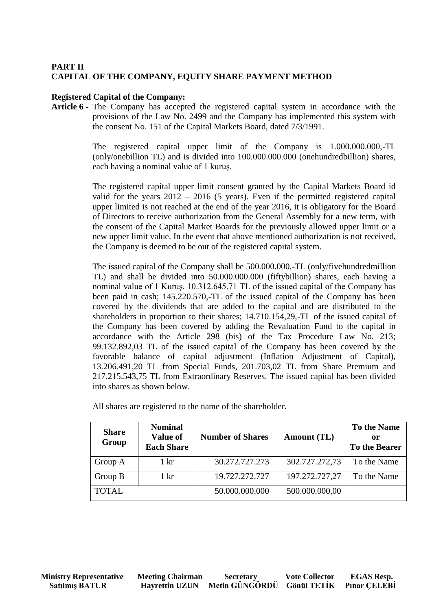# **PART II CAPITAL OF THE COMPANY, EQUITY SHARE PAYMENT METHOD**

## **Registered Capital of the Company:**

**Article 6 -** The Company has accepted the registered capital system in accordance with the provisions of the Law No. 2499 and the Company has implemented this system with the consent No. 151 of the Capital Markets Board, dated 7/3/1991.

> The registered capital upper limit of the Company is 1.000.000.000,-TL (only/onebillion TL) and is divided into 100.000.000.000 (onehundredbillion) shares, each having a nominal value of 1 kuruş.

> The registered capital upper limit consent granted by the Capital Markets Board id valid for the years 2012 – 2016 (5 years). Even if the permitted registered capital upper limited is not reached at the end of the year 2016, it is obligatory for the Board of Directors to receive authorization from the General Assembly for a new term, with the consent of the Capital Market Boards for the previously allowed upper limit or a new upper limit value. In the event that above mentioned authorization is not received, the Company is deemed to be out of the registered capital system.

> The issued capital of the Company shall be 500.000.000,-TL (only/fivehundredmillion TL) and shall be divided into 50.000.000.000 (fiftybillion) shares, each having a nominal value of 1 Kuruş. 10.312.645,71 TL of the issued capital of the Company has been paid in cash; 145.220.570,-TL of the issued capital of the Company has been covered by the dividends that are added to the capital and are distributed to the shareholders in proportion to their shares; 14.710.154,29,-TL of the issued capital of the Company has been covered by adding the Revaluation Fund to the capital in accordance with the Article 298 (bis) of the Tax Procedure Law No. 213; 99.132.892,03 TL of the issued capital of the Company has been covered by the favorable balance of capital adjustment (Inflation Adjustment of Capital), 13.206.491,20 TL from Special Funds, 201.703,02 TL from Share Premium and 217.215.543,75 TL from Extraordinary Reserves. The issued capital has been divided into shares as shown below.

| <b>Share</b><br>Group | <b>Nominal</b><br><b>Value of</b><br><b>Each Share</b> | <b>Number of Shares</b> | Amount (TL)    | <b>To the Name</b><br>or<br>To the Bearer |
|-----------------------|--------------------------------------------------------|-------------------------|----------------|-------------------------------------------|
| Group A               | $1 \; \mathrm{kr}$                                     | 30.272.727.273          | 302.727.272,73 | To the Name                               |
| Group B               | $1 \mathrm{kr}$                                        | 19.727.272.727          | 197.272.727,27 | To the Name                               |
| <b>TOTAL</b>          |                                                        | 50.000.000.000          | 500.000.000,00 |                                           |

All shares are registered to the name of the shareholder.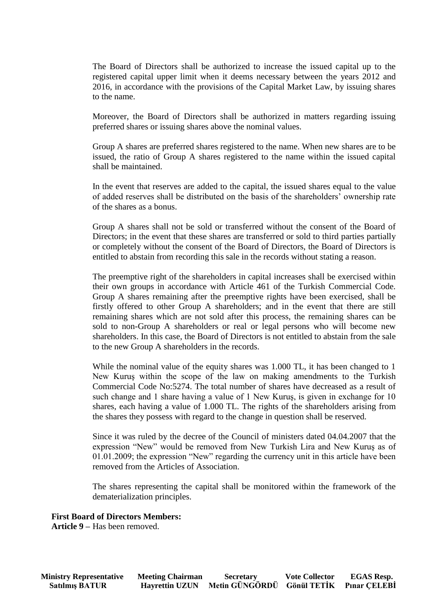The Board of Directors shall be authorized to increase the issued capital up to the registered capital upper limit when it deems necessary between the years 2012 and 2016, in accordance with the provisions of the Capital Market Law, by issuing shares to the name.

Moreover, the Board of Directors shall be authorized in matters regarding issuing preferred shares or issuing shares above the nominal values.

Group A shares are preferred shares registered to the name. When new shares are to be issued, the ratio of Group A shares registered to the name within the issued capital shall be maintained.

In the event that reserves are added to the capital, the issued shares equal to the value of added reserves shall be distributed on the basis of the shareholders' ownership rate of the shares as a bonus.

Group A shares shall not be sold or transferred without the consent of the Board of Directors; in the event that these shares are transferred or sold to third parties partially or completely without the consent of the Board of Directors, the Board of Directors is entitled to abstain from recording this sale in the records without stating a reason.

The preemptive right of the shareholders in capital increases shall be exercised within their own groups in accordance with Article 461 of the Turkish Commercial Code. Group A shares remaining after the preemptive rights have been exercised, shall be firstly offered to other Group A shareholders; and in the event that there are still remaining shares which are not sold after this process, the remaining shares can be sold to non-Group A shareholders or real or legal persons who will become new shareholders. In this case, the Board of Directors is not entitled to abstain from the sale to the new Group A shareholders in the records.

While the nominal value of the equity shares was 1.000 TL, it has been changed to 1 New Kuruş within the scope of the law on making amendments to the Turkish Commercial Code No:5274. The total number of shares have decreased as a result of such change and 1 share having a value of 1 New Kuruş, is given in exchange for 10 shares, each having a value of 1.000 TL. The rights of the shareholders arising from the shares they possess with regard to the change in question shall be reserved.

Since it was ruled by the decree of the Council of ministers dated 04.04.2007 that the expression "New" would be removed from New Turkish Lira and New Kuruş as of 01.01.2009; the expression "New" regarding the currency unit in this article have been removed from the Articles of Association.

The shares representing the capital shall be monitored within the framework of the dematerialization principles.

#### **First Board of Directors Members:**

**Article 9 –** Has been removed.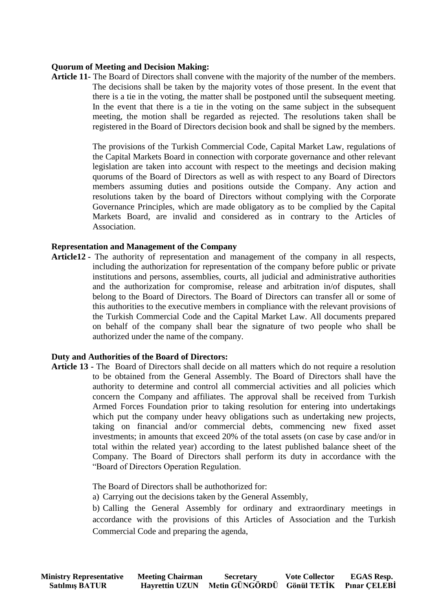## **Quorum of Meeting and Decision Making:**

**Article 11-** The Board of Directors shall convene with the majority of the number of the members. The decisions shall be taken by the majority votes of those present. In the event that there is a tie in the voting, the matter shall be postponed until the subsequent meeting. In the event that there is a tie in the voting on the same subject in the subsequent meeting, the motion shall be regarded as rejected. The resolutions taken shall be registered in the Board of Directors decision book and shall be signed by the members.

> The provisions of the Turkish Commercial Code, Capital Market Law, regulations of the Capital Markets Board in connection with corporate governance and other relevant legislation are taken into account with respect to the meetings and decision making quorums of the Board of Directors as well as with respect to any Board of Directors members assuming duties and positions outside the Company. Any action and resolutions taken by the board of Directors without complying with the Corporate Governance Principles, which are made obligatory as to be complied by the Capital Markets Board, are invalid and considered as in contrary to the Articles of Association.

#### **Representation and Management of the Company**

**Article12 -** The authority of representation and management of the company in all respects, including the authorization for representation of the company before public or private institutions and persons, assemblies, courts, all judicial and administrative authorities and the authorization for compromise, release and arbitration in/of disputes, shall belong to the Board of Directors. The Board of Directors can transfer all or some of this authorities to the executive members in compliance with the relevant provisions of the Turkish Commercial Code and the Capital Market Law. All documents prepared on behalf of the company shall bear the signature of two people who shall be authorized under the name of the company.

#### **Duty and Authorities of the Board of Directors:**

**Article 13 -** The Board of Directors shall decide on all matters which do not require a resolution to be obtained from the General Assembly. The Board of Directors shall have the authority to determine and control all commercial activities and all policies which concern the Company and affiliates. The approval shall be received from Turkish Armed Forces Foundation prior to taking resolution for entering into undertakings which put the company under heavy obligations such as undertaking new projects, taking on financial and/or commercial debts, commencing new fixed asset investments; in amounts that exceed 20% of the total assets (on case by case and/or in total within the related year) according to the latest published balance sheet of the Company. The Board of Directors shall perform its duty in accordance with the "Board of Directors Operation Regulation.

The Board of Directors shall be authothorized for:

a) Carrying out the decisions taken by the General Assembly,

b) Calling the General Assembly for ordinary and extraordinary meetings in accordance with the provisions of this Articles of Association and the Turkish Commercial Code and preparing the agenda,

| <b>Ministry Representative</b> | <b>Meeting Chairman</b> | <b>Secretary</b>                        | <b>Vote Collector</b> | <b>EGAS Resp.</b> |
|--------------------------------|-------------------------|-----------------------------------------|-----------------------|-------------------|
| <b>Satılmış BATUR</b>          | <b>Hayrettin UZUN</b>   | Metin GÜNGÖRDÜ Gönül TETİK Pınar ÇELEBİ |                       |                   |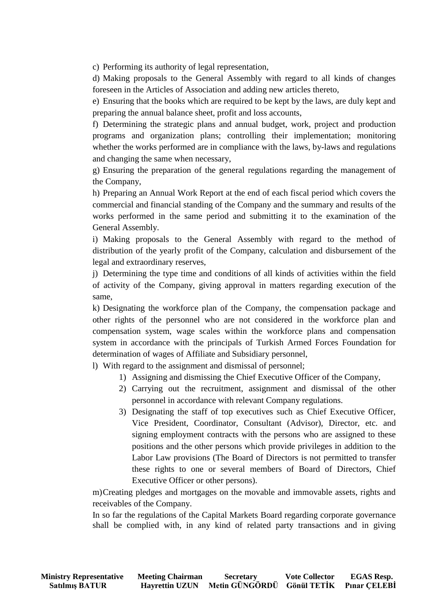c) Performing its authority of legal representation,

d) Making proposals to the General Assembly with regard to all kinds of changes foreseen in the Articles of Association and adding new articles thereto,

e) Ensuring that the books which are required to be kept by the laws, are duly kept and preparing the annual balance sheet, profit and loss accounts,

f) Determining the strategic plans and annual budget, work, project and production programs and organization plans; controlling their implementation; monitoring whether the works performed are in compliance with the laws, by-laws and regulations and changing the same when necessary,

g) Ensuring the preparation of the general regulations regarding the management of the Company,

h) Preparing an Annual Work Report at the end of each fiscal period which covers the commercial and financial standing of the Company and the summary and results of the works performed in the same period and submitting it to the examination of the General Assembly.

i) Making proposals to the General Assembly with regard to the method of distribution of the yearly profit of the Company, calculation and disbursement of the legal and extraordinary reserves,

j) Determining the type time and conditions of all kinds of activities within the field of activity of the Company, giving approval in matters regarding execution of the same,

k) Designating the workforce plan of the Company, the compensation package and other rights of the personnel who are not considered in the workforce plan and compensation system, wage scales within the workforce plans and compensation system in accordance with the principals of Turkish Armed Forces Foundation for determination of wages of Affiliate and Subsidiary personnel,

l) With regard to the assignment and dismissal of personnel;

- 1) Assigning and dismissing the Chief Executive Officer of the Company,
- 2) Carrying out the recruitment, assignment and dismissal of the other personnel in accordance with relevant Company regulations.
- 3) Designating the staff of top executives such as Chief Executive Officer, Vice President, Coordinator, Consultant (Advisor), Director, etc. and signing employment contracts with the persons who are assigned to these positions and the other persons which provide privileges in addition to the Labor Law provisions (The Board of Directors is not permitted to transfer these rights to one or several members of Board of Directors, Chief Executive Officer or other persons).

m)Creating pledges and mortgages on the movable and immovable assets, rights and receivables of the Company.

In so far the regulations of the Capital Markets Board regarding corporate governance shall be complied with, in any kind of related party transactions and in giving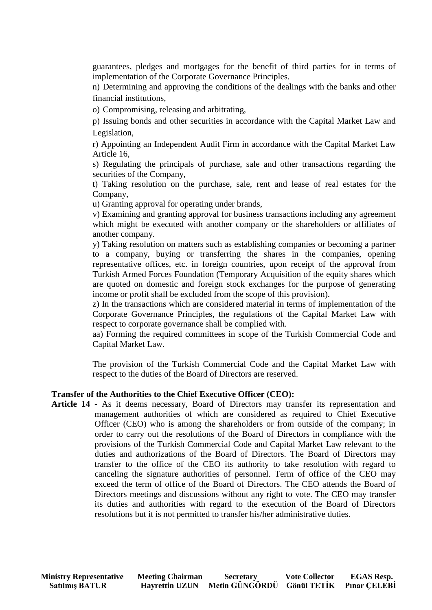guarantees, pledges and mortgages for the benefit of third parties for in terms of implementation of the Corporate Governance Principles.

n) Determining and approving the conditions of the dealings with the banks and other financial institutions,

o) Compromising, releasing and arbitrating,

p) Issuing bonds and other securities in accordance with the Capital Market Law and Legislation,

r) Appointing an Independent Audit Firm in accordance with the Capital Market Law Article 16,

s) Regulating the principals of purchase, sale and other transactions regarding the securities of the Company,

t) Taking resolution on the purchase, sale, rent and lease of real estates for the Company,

u) Granting approval for operating under brands,

v) Examining and granting approval for business transactions including any agreement which might be executed with another company or the shareholders or affiliates of another company.

y) Taking resolution on matters such as establishing companies or becoming a partner to a company, buying or transferring the shares in the companies, opening representative offices, etc. in foreign countries, upon receipt of the approval from Turkish Armed Forces Foundation (Temporary Acquisition of the equity shares which are quoted on domestic and foreign stock exchanges for the purpose of generating income or profit shall be excluded from the scope of this provision).

z) In the transactions which are considered material in terms of implementation of the Corporate Governance Principles, the regulations of the Capital Market Law with respect to corporate governance shall be complied with.

aa) Forming the required committees in scope of the Turkish Commercial Code and Capital Market Law.

The provision of the Turkish Commercial Code and the Capital Market Law with respect to the duties of the Board of Directors are reserved.

#### **Transfer of the Authorities to the Chief Executive Officer (CEO):**

**Article 14 -** As it deems necessary, Board of Directors may transfer its representation and management authorities of which are considered as required to Chief Executive Officer (CEO) who is among the shareholders or from outside of the company; in order to carry out the resolutions of the Board of Directors in compliance with the provisions of the Turkish Commercial Code and Capital Market Law relevant to the duties and authorizations of the Board of Directors. The Board of Directors may transfer to the office of the CEO its authority to take resolution with regard to canceling the signature authorities of personnel. Term of office of the CEO may exceed the term of office of the Board of Directors. The CEO attends the Board of Directors meetings and discussions without any right to vote. The CEO may transfer its duties and authorities with regard to the execution of the Board of Directors resolutions but it is not permitted to transfer his/her administrative duties.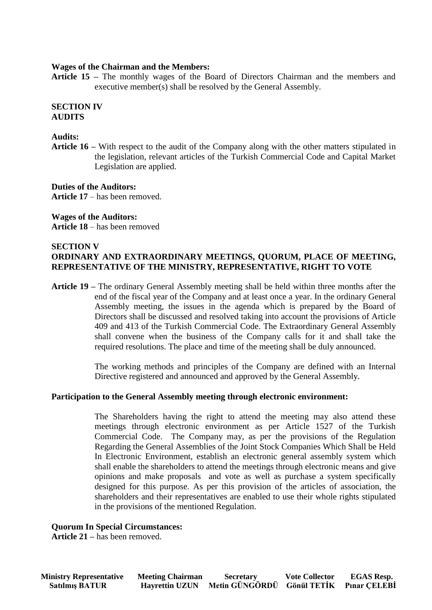### **Wages of the Chairman and the Members:**

**Article 15 –** The monthly wages of the Board of Directors Chairman and the members and executive member(s) shall be resolved by the General Assembly.

#### **SECTION IV AUDITS**

### **Audits:**

**Article 16 –** With respect to the audit of the Company along with the other matters stipulated in the legislation, relevant articles of the Turkish Commercial Code and Capital Market Legislation are applied.

**Duties of the Auditors: Article 17** – has been removed.

**Wages of the Auditors: Article 18** – has been removed

### **SECTION V ORDINARY AND EXTRAORDINARY MEETINGS, QUORUM, PLACE OF MEETING, REPRESENTATIVE OF THE MINISTRY, REPRESENTATIVE, RIGHT TO VOTE**

**Article 19 –** The ordinary General Assembly meeting shall be held within three months after the end of the fiscal year of the Company and at least once a year. In the ordinary General Assembly meeting, the issues in the agenda which is prepared by the Board of Directors shall be discussed and resolved taking into account the provisions of Article 409 and 413 of the Turkish Commercial Code. The Extraordinary General Assembly shall convene when the business of the Company calls for it and shall take the required resolutions. The place and time of the meeting shall be duly announced.

> The working methods and principles of the Company are defined with an Internal Directive registered and announced and approved by the General Assembly.

## **Participation to the General Assembly meeting through electronic environment:**

The Shareholders having the right to attend the meeting may also attend these meetings through electronic environment as per Article 1527 of the Turkish Commercial Code. The Company may, as per the provisions of the Regulation Regarding the General Assemblies of the Joint Stock Companies Which Shall be Held In Electronic Environment, establish an electronic general assembly system which shall enable the shareholders to attend the meetings through electronic means and give opinions and make proposals and vote as well as purchase a system specifically designed for this purpose. As per this provision of the articles of association, the shareholders and their representatives are enabled to use their whole rights stipulated in the provisions of the mentioned Regulation.

## **Quorum In Special Circumstances:**

**Article 21 –** has been removed.

| <b>Ministry Representative</b> | <b>Meeting Chairman</b> | <b>Secretary</b>                        | <b>Vote Collector</b> | <b>EGAS Resp.</b> |
|--------------------------------|-------------------------|-----------------------------------------|-----------------------|-------------------|
| <b>Satılmış BATUR</b>          | <b>Havrettin UZUN</b>   | Metin GÜNGÖRDÜ Gönül TETİK Pınar CELEBİ |                       |                   |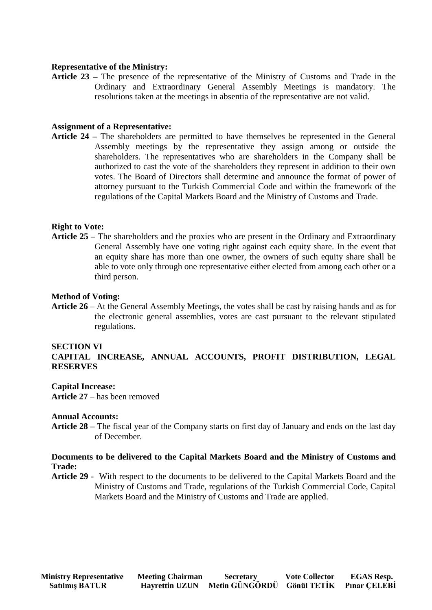## **Representative of the Ministry:**

**Article 23 –** The presence of the representative of the Ministry of Customs and Trade in the Ordinary and Extraordinary General Assembly Meetings is mandatory. The resolutions taken at the meetings in absentia of the representative are not valid.

## **Assignment of a Representative:**

**Article 24 –** The shareholders are permitted to have themselves be represented in the General Assembly meetings by the representative they assign among or outside the shareholders. The representatives who are shareholders in the Company shall be authorized to cast the vote of the shareholders they represent in addition to their own votes. The Board of Directors shall determine and announce the format of power of attorney pursuant to the Turkish Commercial Code and within the framework of the regulations of the Capital Markets Board and the Ministry of Customs and Trade.

### **Right to Vote:**

**Article 25 –** The shareholders and the proxies who are present in the Ordinary and Extraordinary General Assembly have one voting right against each equity share. In the event that an equity share has more than one owner, the owners of such equity share shall be able to vote only through one representative either elected from among each other or a third person.

#### **Method of Voting:**

**Article 26** – At the General Assembly Meetings, the votes shall be cast by raising hands and as for the electronic general assemblies, votes are cast pursuant to the relevant stipulated regulations.

#### **SECTION VI**

## **CAPITAL INCREASE, ANNUAL ACCOUNTS, PROFIT DISTRIBUTION, LEGAL RESERVES**

#### **Capital Increase:**

**Article 27** – has been removed

#### **Annual Accounts:**

**Article 28 –** The fiscal year of the Company starts on first day of January and ends on the last day of December.

## **Documents to be delivered to the Capital Markets Board and the Ministry of Customs and Trade:**

**Article 29 -** With respect to the documents to be delivered to the Capital Markets Board and the Ministry of Customs and Trade, regulations of the Turkish Commercial Code, Capital Markets Board and the Ministry of Customs and Trade are applied.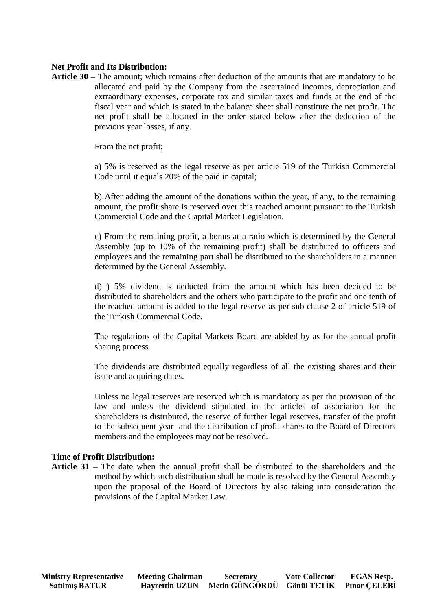## **Net Profit and Its Distribution:**

**Article 30 –** The amount; which remains after deduction of the amounts that are mandatory to be allocated and paid by the Company from the ascertained incomes, depreciation and extraordinary expenses, corporate tax and similar taxes and funds at the end of the fiscal year and which is stated in the balance sheet shall constitute the net profit. The net profit shall be allocated in the order stated below after the deduction of the previous year losses, if any.

From the net profit;

a) 5% is reserved as the legal reserve as per article 519 of the Turkish Commercial Code until it equals 20% of the paid in capital;

b) After adding the amount of the donations within the year, if any, to the remaining amount, the profit share is reserved over this reached amount pursuant to the Turkish Commercial Code and the Capital Market Legislation.

c) From the remaining profit, a bonus at a ratio which is determined by the General Assembly (up to 10% of the remaining profit) shall be distributed to officers and employees and the remaining part shall be distributed to the shareholders in a manner determined by the General Assembly.

d) ) 5% dividend is deducted from the amount which has been decided to be distributed to shareholders and the others who participate to the profit and one tenth of the reached amount is added to the legal reserve as per sub clause 2 of article 519 of the Turkish Commercial Code.

The regulations of the Capital Markets Board are abided by as for the annual profit sharing process.

The dividends are distributed equally regardless of all the existing shares and their issue and acquiring dates.

Unless no legal reserves are reserved which is mandatory as per the provision of the law and unless the dividend stipulated in the articles of association for the shareholders is distributed, the reserve of further legal reserves, transfer of the profit to the subsequent year and the distribution of profit shares to the Board of Directors members and the employees may not be resolved.

### **Time of Profit Distribution:**

**Article 31 –** The date when the annual profit shall be distributed to the shareholders and the method by which such distribution shall be made is resolved by the General Assembly upon the proposal of the Board of Directors by also taking into consideration the provisions of the Capital Market Law.

 **Ministry Representative Meeting Chairman Secretary Vote Collector EGAS Resp. Satılmış BATUR Hayrettin UZUN Metin GÜNGÖRDÜ Gönül TETİK Pınar ÇELEBİ**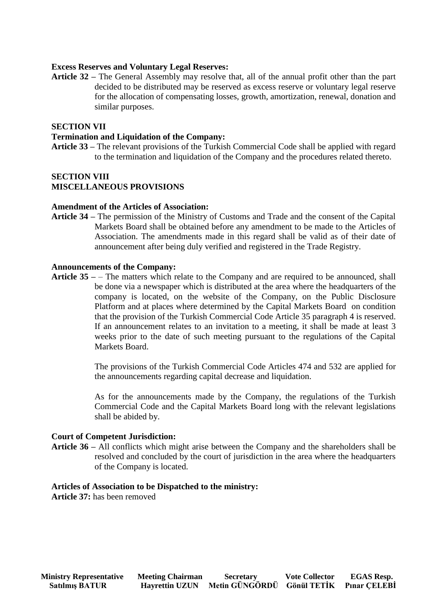## **Excess Reserves and Voluntary Legal Reserves:**

**Article 32 –** The General Assembly may resolve that, all of the annual profit other than the part decided to be distributed may be reserved as excess reserve or voluntary legal reserve for the allocation of compensating losses, growth, amortization, renewal, donation and similar purposes.

### **SECTION VII**

### **Termination and Liquidation of the Company:**

**Article 33 –** The relevant provisions of the Turkish Commercial Code shall be applied with regard to the termination and liquidation of the Company and the procedures related thereto.

#### **SECTION VIII MISCELLANEOUS PROVISIONS**

#### **Amendment of the Articles of Association:**

**Article 34 –** The permission of the Ministry of Customs and Trade and the consent of the Capital Markets Board shall be obtained before any amendment to be made to the Articles of Association. The amendments made in this regard shall be valid as of their date of announcement after being duly verified and registered in the Trade Registry.

#### **Announcements of the Company:**

**Article 35 –** – The matters which relate to the Company and are required to be announced, shall be done via a newspaper which is distributed at the area where the headquarters of the company is located, on the website of the Company, on the Public Disclosure Platform and at places where determined by the Capital Markets Board on condition that the provision of the Turkish Commercial Code Article 35 paragraph 4 is reserved. If an announcement relates to an invitation to a meeting, it shall be made at least 3 weeks prior to the date of such meeting pursuant to the regulations of the Capital Markets Board.

> The provisions of the Turkish Commercial Code Articles 474 and 532 are applied for the announcements regarding capital decrease and liquidation.

> As for the announcements made by the Company, the regulations of the Turkish Commercial Code and the Capital Markets Board long with the relevant legislations shall be abided by.

#### **Court of Competent Jurisdiction:**

**Article 36 –** All conflicts which might arise between the Company and the shareholders shall be resolved and concluded by the court of jurisdiction in the area where the headquarters of the Company is located.

#### **Articles of Association to be Dispatched to the ministry:**

**Article 37:** has been removed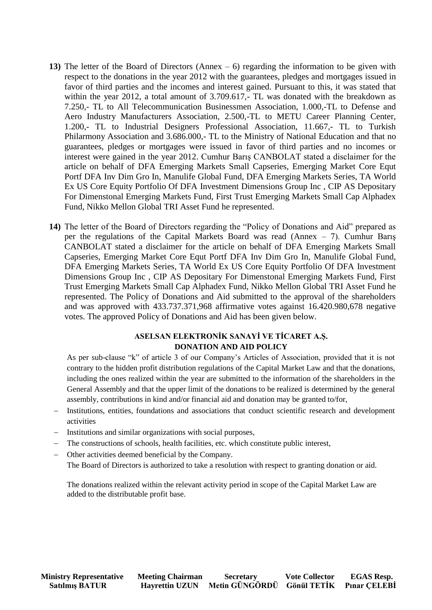- **13)** The letter of the Board of Directors (Annex 6) regarding the information to be given with respect to the donations in the year 2012 with the guarantees, pledges and mortgages issued in favor of third parties and the incomes and interest gained. Pursuant to this, it was stated that within the year 2012, a total amount of 3.709.617,- TL was donated with the breakdown as 7.250,- TL to All Telecommunication Businessmen Association, 1.000,-TL to Defense and Aero Industry Manufacturers Association, 2.500,-TL to METU Career Planning Center, 1.200,- TL to Industrial Designers Professional Association, 11.667,- TL to Turkish Philarmony Association and 3.686.000,- TL to the Ministry of National Education and that no guarantees, pledges or mortgages were issued in favor of third parties and no incomes or interest were gained in the year 2012. Cumhur Barış CANBOLAT stated a disclaimer for the article on behalf of DFA Emerging Markets Small Capseries, Emerging Market Core Equt Portf DFA Inv Dim Gro In, Manulife Global Fund, DFA Emerging Markets Series, TA World Ex US Core Equity Portfolio Of DFA Investment Dimensions Group Inc , CIP AS Depositary For Dimenstonal Emerging Markets Fund, First Trust Emerging Markets Small Cap Alphadex Fund, Nikko Mellon Global TRI Asset Fund he represented.
- **14)** The letter of the Board of Directors regarding the "Policy of Donations and Aid" prepared as per the regulations of the Capital Markets Board was read (Annex – 7). Cumhur Barış CANBOLAT stated a disclaimer for the article on behalf of DFA Emerging Markets Small Capseries, Emerging Market Core Equt Portf DFA Inv Dim Gro In, Manulife Global Fund, DFA Emerging Markets Series, TA World Ex US Core Equity Portfolio Of DFA Investment Dimensions Group Inc , CIP AS Depositary For Dimenstonal Emerging Markets Fund, First Trust Emerging Markets Small Cap Alphadex Fund, Nikko Mellon Global TRI Asset Fund he represented. The Policy of Donations and Aid submitted to the approval of the shareholders and was approved with 433.737.371,968 affirmative votes against 16.420.980,678 negative votes. The approved Policy of Donations and Aid has been given below.

## **ASELSAN ELEKTRONİK SANAYİ VE TİCARET A.Ş. DONATION AND AID POLICY**

As per sub-clause "k" of article 3 of our Company's Articles of Association, provided that it is not contrary to the hidden profit distribution regulations of the Capital Market Law and that the donations, including the ones realized within the year are submitted to the information of the shareholders in the General Assembly and that the upper limit of the donations to be realized is determined by the general assembly, contributions in kind and/or financial aid and donation may be granted to/for,

- Institutions, entities, foundations and associations that conduct scientific research and development activities
- Institutions and similar organizations with social purposes,
- The constructions of schools, health facilities, etc. which constitute public interest,
- Other activities deemed beneficial by the Company. The Board of Directors is authorized to take a resolution with respect to granting donation or aid.

The donations realized within the relevant activity period in scope of the Capital Market Law are added to the distributable profit base.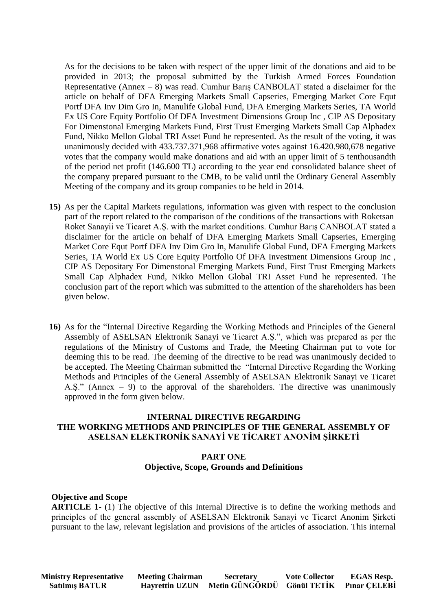As for the decisions to be taken with respect of the upper limit of the donations and aid to be provided in 2013; the proposal submitted by the Turkish Armed Forces Foundation Representative (Annex  $-$  8) was read. Cumhur Baris CANBOLAT stated a disclaimer for the article on behalf of DFA Emerging Markets Small Capseries, Emerging Market Core Equt Portf DFA Inv Dim Gro In, Manulife Global Fund, DFA Emerging Markets Series, TA World Ex US Core Equity Portfolio Of DFA Investment Dimensions Group Inc , CIP AS Depositary For Dimenstonal Emerging Markets Fund, First Trust Emerging Markets Small Cap Alphadex Fund, Nikko Mellon Global TRI Asset Fund he represented. As the result of the voting, it was unanimously decided with 433.737.371,968 affirmative votes against 16.420.980,678 negative votes that the company would make donations and aid with an upper limit of 5 tenthousandth of the period net profit (146.600 TL) according to the year end consolidated balance sheet of the company prepared pursuant to the CMB, to be valid until the Ordinary General Assembly Meeting of the company and its group companies to be held in 2014.

- **15)** As per the Capital Markets regulations, information was given with respect to the conclusion part of the report related to the comparison of the conditions of the transactions with Roketsan Roket Sanayii ve Ticaret A.Ş. with the market conditions. Cumhur Barış CANBOLAT stated a disclaimer for the article on behalf of DFA Emerging Markets Small Capseries, Emerging Market Core Equt Portf DFA Inv Dim Gro In, Manulife Global Fund, DFA Emerging Markets Series, TA World Ex US Core Equity Portfolio Of DFA Investment Dimensions Group Inc , CIP AS Depositary For Dimenstonal Emerging Markets Fund, First Trust Emerging Markets Small Cap Alphadex Fund, Nikko Mellon Global TRI Asset Fund he represented. The conclusion part of the report which was submitted to the attention of the shareholders has been given below.
- **16)** As for the "Internal Directive Regarding the Working Methods and Principles of the General Assembly of ASELSAN Elektronik Sanayi ve Ticaret A.Ş.", which was prepared as per the regulations of the Ministry of Customs and Trade, the Meeting Chairman put to vote for deeming this to be read. The deeming of the directive to be read was unanimously decided to be accepted. The Meeting Chairman submitted the "Internal Directive Regarding the Working Methods and Principles of the General Assembly of ASELSAN Elektronik Sanayi ve Ticaret A.Ş." (Annex – 9) to the approval of the shareholders. The directive was unanimously approved in the form given below.

## **INTERNAL DIRECTIVE REGARDING THE WORKING METHODS AND PRINCIPLES OF THE GENERAL ASSEMBLY OF ASELSAN ELEKTRONİK SANAYİ VE TİCARET ANONİM ŞİRKETİ**

## **PART ONE Objective, Scope, Grounds and Definitions**

## **Objective and Scope**

**ARTICLE 1-** (1) The objective of this Internal Directive is to define the working methods and principles of the general assembly of ASELSAN Elektronik Sanayi ve Ticaret Anonim Şirketi pursuant to the law, relevant legislation and provisions of the articles of association. This internal

**Ministry Representative Meeting Chairman Secretary Vote Collector EGAS Resp.** 

 **Satılmış BATUR Hayrettin UZUN Metin GÜNGÖRDÜ Gönül TETİK Pınar ÇELEBİ**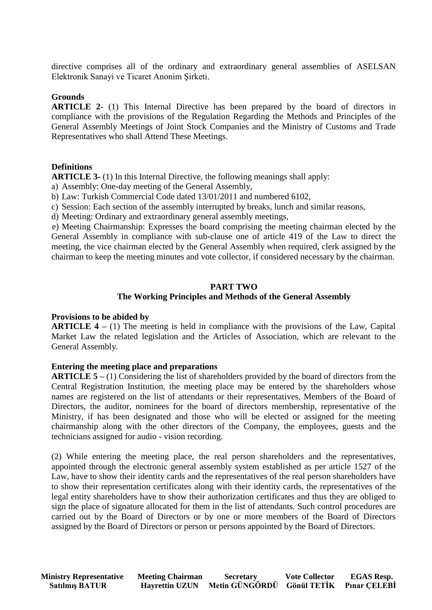directive comprises all of the ordinary and extraordinary general assemblies of ASELSAN Elektronik Sanayi ve Ticaret Anonim Şirketi.

### **Grounds**

**ARTICLE 2-** (1) This Internal Directive has been prepared by the board of directors in compliance with the provisions of the Regulation Regarding the Methods and Principles of the General Assembly Meetings of Joint Stock Companies and the Ministry of Customs and Trade Representatives who shall Attend These Meetings.

## **Definitions**

**ARTICLE 3-** (1) In this Internal Directive, the following meanings shall apply:

a) Assembly: One-day meeting of the General Assembly,

b) Law: Turkish Commercial Code dated 13/01/2011 and numbered 6102,

c) Session: Each section of the assembly interrupted by breaks, lunch and similar reasons,

d) Meeting: Ordinary and extraordinary general assembly meetings,

 e) Meeting Chairmanship: Expresses the board comprising the meeting chairman elected by the General Assembly in compliance with sub-clause one of article 419 of the Law to direct the meeting, the vice chairman elected by the General Assembly when required, clerk assigned by the chairman to keep the meeting minutes and vote collector, if considered necessary by the chairman.

### **PART TWO**

## **The Working Principles and Methods of the General Assembly**

#### **Provisions to be abided by**

**ARTICLE 4 –** (1) The meeting is held in compliance with the provisions of the Law, Capital Market Law the related legislation and the Articles of Association, which are relevant to the General Assembly.

#### **Entering the meeting place and preparations**

**ARTICLE 5 –** (1) Considering the list of shareholders provided by the board of directors from the Central Registration Institution, the meeting place may be entered by the shareholders whose names are registered on the list of attendants or their representatives, Members of the Board of Directors, the auditor, nominees for the board of directors membership, representative of the Ministry, if has been designated and those who will be elected or assigned for the meeting chairmanship along with the other directors of the Company, the employees, guests and the technicians assigned for audio - vision recording.

(2) While entering the meeting place, the real person shareholders and the representatives, appointed through the electronic general assembly system established as per article 1527 of the Law, have to show their identity cards and the representatives of the real person shareholders have to show their representation certificates along with their identity cards, the representatives of the legal entity shareholders have to show their authorization certificates and thus they are obliged to sign the place of signature allocated for them in the list of attendants. Such control procedures are carried out by the Board of Directors or by one or more members of the Board of Directors assigned by the Board of Directors or person or persons appointed by the Board of Directors.

 **Ministry Representative Meeting Chairman Secretary Vote Collector EGAS Resp. Satılmış BATUR Hayrettin UZUN Metin GÜNGÖRDÜ Gönül TETİK Pınar ÇELEBİ**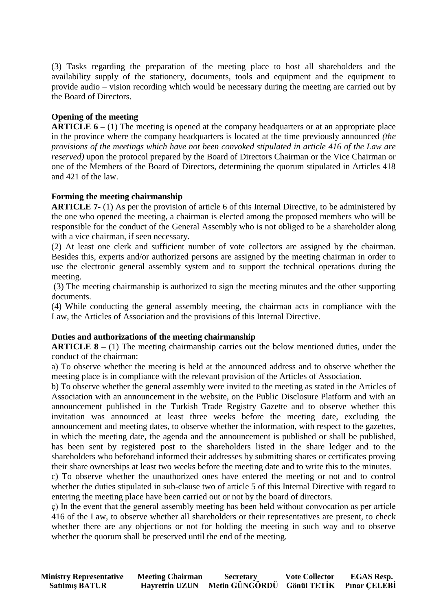(3) Tasks regarding the preparation of the meeting place to host all shareholders and the availability supply of the stationery, documents, tools and equipment and the equipment to provide audio – vision recording which would be necessary during the meeting are carried out by the Board of Directors.

## **Opening of the meeting**

**ARTICLE 6** – (1) The meeting is opened at the company headquarters or at an appropriate place in the province where the company headquarters is located at the time previously announced *(the provisions of the meetings which have not been convoked stipulated in article 416 of the Law are reserved)* upon the protocol prepared by the Board of Directors Chairman or the Vice Chairman or one of the Members of the Board of Directors, determining the quorum stipulated in Articles 418 and 421 of the law.

## **Forming the meeting chairmanship**

**ARTICLE 7-** (1) As per the provision of article 6 of this Internal Directive, to be administered by the one who opened the meeting, a chairman is elected among the proposed members who will be responsible for the conduct of the General Assembly who is not obliged to be a shareholder along with a vice chairman, if seen necessary.

(2) At least one clerk and sufficient number of vote collectors are assigned by the chairman. Besides this, experts and/or authorized persons are assigned by the meeting chairman in order to use the electronic general assembly system and to support the technical operations during the meeting.

(3) The meeting chairmanship is authorized to sign the meeting minutes and the other supporting documents.

(4) While conducting the general assembly meeting, the chairman acts in compliance with the Law, the Articles of Association and the provisions of this Internal Directive.

## **Duties and authorizations of the meeting chairmanship**

**ARTICLE 8** – (1) The meeting chairmanship carries out the below mentioned duties, under the conduct of the chairman:

a) To observe whether the meeting is held at the announced address and to observe whether the meeting place is in compliance with the relevant provision of the Articles of Association.

b) To observe whether the general assembly were invited to the meeting as stated in the Articles of Association with an announcement in the website, on the Public Disclosure Platform and with an announcement published in the Turkish Trade Registry Gazette and to observe whether this invitation was announced at least three weeks before the meeting date, excluding the announcement and meeting dates, to observe whether the information, with respect to the gazettes, in which the meeting date, the agenda and the announcement is published or shall be published, has been sent by registered post to the shareholders listed in the share ledger and to the shareholders who beforehand informed their addresses by submitting shares or certificates proving their share ownerships at least two weeks before the meeting date and to write this to the minutes.

c) To observe whether the unauthorized ones have entered the meeting or not and to control whether the duties stipulated in sub-clause two of article 5 of this Internal Directive with regard to entering the meeting place have been carried out or not by the board of directors.

ç) In the event that the general assembly meeting has been held without convocation as per article 416 of the Law, to observe whether all shareholders or their representatives are present, to check whether there are any objections or not for holding the meeting in such way and to observe whether the quorum shall be preserved until the end of the meeting.

| <b>Ministry Representative</b> | <b>Meeting Chairman</b> | <b>Secretary</b>                        | <b>Vote Collector</b> | <b>EGAS Resp.</b> |
|--------------------------------|-------------------------|-----------------------------------------|-----------------------|-------------------|
| <b>Satılmış BATUR</b>          | <b>Hayrettin UZUN</b>   | Metin GÜNGÖRDÜ Gönül TETİK Pınar CELEBİ |                       |                   |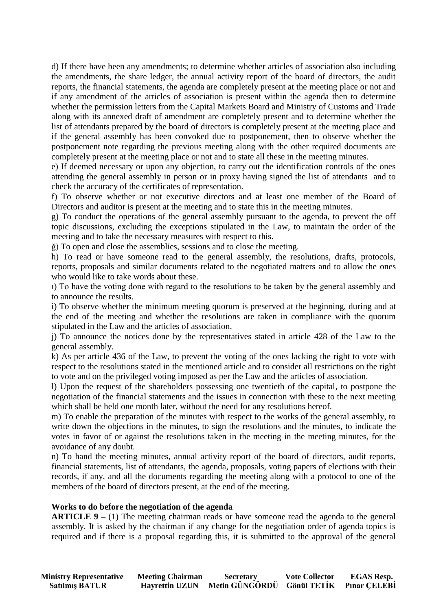d) If there have been any amendments; to determine whether articles of association also including the amendments, the share ledger, the annual activity report of the board of directors, the audit reports, the financial statements, the agenda are completely present at the meeting place or not and if any amendment of the articles of association is present within the agenda then to determine whether the permission letters from the Capital Markets Board and Ministry of Customs and Trade along with its annexed draft of amendment are completely present and to determine whether the list of attendants prepared by the board of directors is completely present at the meeting place and if the general assembly has been convoked due to postponement, then to observe whether the postponement note regarding the previous meeting along with the other required documents are completely present at the meeting place or not and to state all these in the meeting minutes.

e) If deemed necessary or upon any objection, to carry out the identification controls of the ones attending the general assembly in person or in proxy having signed the list of attendants and to check the accuracy of the certificates of representation.

f) To observe whether or not executive directors and at least one member of the Board of Directors and auditor is present at the meeting and to state this in the meeting minutes.

g) To conduct the operations of the general assembly pursuant to the agenda, to prevent the off topic discussions, excluding the exceptions stipulated in the Law, to maintain the order of the meeting and to take the necessary measures with respect to this.

ğ) To open and close the assemblies, sessions and to close the meeting.

h) To read or have someone read to the general assembly, the resolutions, drafts, protocols, reports, proposals and similar documents related to the negotiated matters and to allow the ones who would like to take words about these.

ı) To have the voting done with regard to the resolutions to be taken by the general assembly and to announce the results.

i) To observe whether the minimum meeting quorum is preserved at the beginning, during and at the end of the meeting and whether the resolutions are taken in compliance with the quorum stipulated in the Law and the articles of association.

j) To announce the notices done by the representatives stated in article 428 of the Law to the general assembly.

k) As per article 436 of the Law, to prevent the voting of the ones lacking the right to vote with respect to the resolutions stated in the mentioned article and to consider all restrictions on the right to vote and on the privileged voting imposed as per the Law and the articles of association.

l) Upon the request of the shareholders possessing one twentieth of the capital*,* to postpone the negotiation of the financial statements and the issues in connection with these to the next meeting which shall be held one month later, without the need for any resolutions hereof.

m) To enable the preparation of the minutes with respect to the works of the general assembly, to write down the objections in the minutes, to sign the resolutions and the minutes, to indicate the votes in favor of or against the resolutions taken in the meeting in the meeting minutes, for the avoidance of any doubt.

n) To hand the meeting minutes, annual activity report of the board of directors, audit reports, financial statements, list of attendants, the agenda, proposals, voting papers of elections with their records, if any, and all the documents regarding the meeting along with a protocol to one of the members of the board of directors present, at the end of the meeting.

## **Works to do before the negotiation of the agenda**

**ARTICLE 9** – (1) The meeting chairman reads or have someone read the agenda to the general assembly. It is asked by the chairman if any change for the negotiation order of agenda topics is required and if there is a proposal regarding this, it is submitted to the approval of the general

| <b>Ministry Representative</b> | <b>Meeting Chairman</b> | <b>Secretary</b>                        | <b>Vote Collector</b> | <b>EGAS Resp.</b> |
|--------------------------------|-------------------------|-----------------------------------------|-----------------------|-------------------|
| <b>Satılmış BATUR</b>          | <b>Havrettin UZUN</b>   | Metin GÜNGÖRDÜ Gönül TETİK Pınar ÇELEBİ |                       |                   |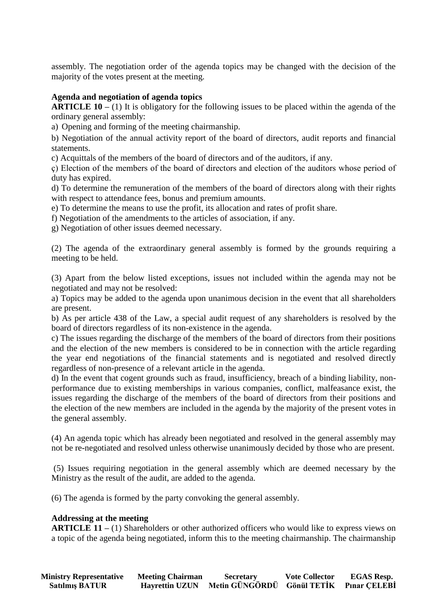assembly. The negotiation order of the agenda topics may be changed with the decision of the majority of the votes present at the meeting.

## **Agenda and negotiation of agenda topics**

**ARTICLE 10 –** (1) It is obligatory for the following issues to be placed within the agenda of the ordinary general assembly:

a) Opening and forming of the meeting chairmanship.

b) Negotiation of the annual activity report of the board of directors, audit reports and financial statements.

c) Acquittals of the members of the board of directors and of the auditors, if any.

ç) Election of the members of the board of directors and election of the auditors whose period of duty has expired.

d) To determine the remuneration of the members of the board of directors along with their rights with respect to attendance fees, bonus and premium amounts.

e) To determine the means to use the profit, its allocation and rates of profit share.

f) Negotiation of the amendments to the articles of association, if any.

g) Negotiation of other issues deemed necessary.

(2) The agenda of the extraordinary general assembly is formed by the grounds requiring a meeting to be held.

(3) Apart from the below listed exceptions, issues not included within the agenda may not be negotiated and may not be resolved:

a) Topics may be added to the agenda upon unanimous decision in the event that all shareholders are present.

b) As per article 438 of the Law, a special audit request of any shareholders is resolved by the board of directors regardless of its non-existence in the agenda.

c) The issues regarding the discharge of the members of the board of directors from their positions and the election of the new members is considered to be in connection with the article regarding the year end negotiations of the financial statements and is negotiated and resolved directly regardless of non-presence of a relevant article in the agenda.

d) In the event that cogent grounds such as fraud, insufficiency, breach of a binding liability, nonperformance due to existing memberships in various companies, conflict, malfeasance exist, the issues regarding the discharge of the members of the board of directors from their positions and the election of the new members are included in the agenda by the majority of the present votes in the general assembly.

(4) An agenda topic which has already been negotiated and resolved in the general assembly may not be re-negotiated and resolved unless otherwise unanimously decided by those who are present.

(5) Issues requiring negotiation in the general assembly which are deemed necessary by the Ministry as the result of the audit, are added to the agenda.

(6) The agenda is formed by the party convoking the general assembly.

## **Addressing at the meeting**

**ARTICLE 11** – (1) Shareholders or other authorized officers who would like to express views on a topic of the agenda being negotiated, inform this to the meeting chairmanship. The chairmanship

| <b>Ministry Representative</b> | <b>Meeting Chairman</b> | <b>Secretary</b>                        | <b>Vote Collector</b> | <b>EGAS Resp.</b> |
|--------------------------------|-------------------------|-----------------------------------------|-----------------------|-------------------|
| <b>Satılmış BATUR</b>          | <b>Havrettin UZUN</b>   | Metin GÜNGÖRDÜ Gönül TETİK Pınar ÇELEBİ |                       |                   |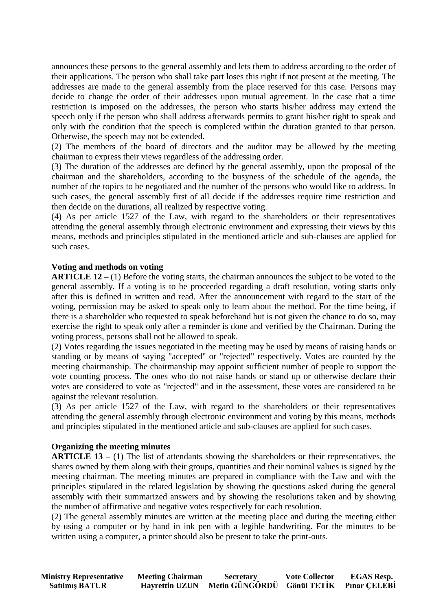announces these persons to the general assembly and lets them to address according to the order of their applications. The person who shall take part loses this right if not present at the meeting. The addresses are made to the general assembly from the place reserved for this case. Persons may decide to change the order of their addresses upon mutual agreement. In the case that a time restriction is imposed on the addresses, the person who starts his/her address may extend the speech only if the person who shall address afterwards permits to grant his/her right to speak and only with the condition that the speech is completed within the duration granted to that person. Otherwise, the speech may not be extended.

(2) The members of the board of directors and the auditor may be allowed by the meeting chairman to express their views regardless of the addressing order.

(3) The duration of the addresses are defined by the general assembly, upon the proposal of the chairman and the shareholders, according to the busyness of the schedule of the agenda, the number of the topics to be negotiated and the number of the persons who would like to address. In such cases, the general assembly first of all decide if the addresses require time restriction and then decide on the durations, all realized by respective voting.

(4) As per article 1527 of the Law, with regard to the shareholders or their representatives attending the general assembly through electronic environment and expressing their views by this means, methods and principles stipulated in the mentioned article and sub-clauses are applied for such cases.

## **Voting and methods on voting**

**ARTICLE 12 –** (1) Before the voting starts, the chairman announces the subject to be voted to the general assembly. If a voting is to be proceeded regarding a draft resolution, voting starts only after this is defined in written and read. After the announcement with regard to the start of the voting, permission may be asked to speak only to learn about the method. For the time being, if there is a shareholder who requested to speak beforehand but is not given the chance to do so, may exercise the right to speak only after a reminder is done and verified by the Chairman. During the voting process, persons shall not be allowed to speak.

(2) Votes regarding the issues negotiated in the meeting may be used by means of raising hands or standing or by means of saying "accepted" or "rejected" respectively. Votes are counted by the meeting chairmanship. The chairmanship may appoint sufficient number of people to support the vote counting process. The ones who do not raise hands or stand up or otherwise declare their votes are considered to vote as "rejected" and in the assessment, these votes are considered to be against the relevant resolution*.*

(3) As per article 1527 of the Law, with regard to the shareholders or their representatives attending the general assembly through electronic environment and voting by this means, methods and principles stipulated in the mentioned article and sub-clauses are applied for such cases.

## **Organizing the meeting minutes**

**ARTICLE 13 –** (1) The list of attendants showing the shareholders or their representatives, the shares owned by them along with their groups, quantities and their nominal values is signed by the meeting chairman. The meeting minutes are prepared in compliance with the Law and with the principles stipulated in the related legislation by showing the questions asked during the general assembly with their summarized answers and by showing the resolutions taken and by showing the number of affirmative and negative votes respectively for each resolution.

(2) The general assembly minutes are written at the meeting place and during the meeting either by using a computer or by hand in ink pen with a legible handwriting. For the minutes to be written using a computer, a printer should also be present to take the print-outs.

| <b>Ministry Representative</b> | <b>Meeting Chairman</b> | <b>Secretary</b>                        | <b>Vote Collector</b> | <b>EGAS Resp.</b> |
|--------------------------------|-------------------------|-----------------------------------------|-----------------------|-------------------|
| <b>Satılmış BATUR</b>          | <b>Havrettin UZUN</b>   | Metin GÜNGÖRDÜ Gönül TETİK Pınar ÇELEBİ |                       |                   |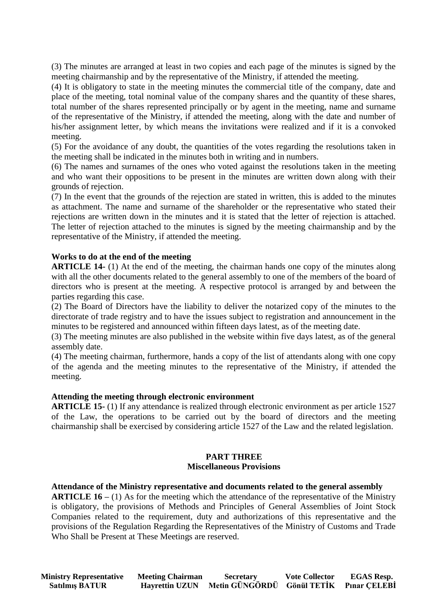(3) The minutes are arranged at least in two copies and each page of the minutes is signed by the meeting chairmanship and by the representative of the Ministry, if attended the meeting.

(4) It is obligatory to state in the meeting minutes the commercial title of the company, date and place of the meeting, total nominal value of the company shares and the quantity of these shares, total number of the shares represented principally or by agent in the meeting, name and surname of the representative of the Ministry, if attended the meeting, along with the date and number of his/her assignment letter, by which means the invitations were realized and if it is a convoked meeting.

(5) For the avoidance of any doubt, the quantities of the votes regarding the resolutions taken in the meeting shall be indicated in the minutes both in writing and in numbers.

(6) The names and surnames of the ones who voted against the resolutions taken in the meeting and who want their oppositions to be present in the minutes are written down along with their grounds of rejection.

(7) In the event that the grounds of the rejection are stated in written, this is added to the minutes as attachment. The name and surname of the shareholder or the representative who stated their rejections are written down in the minutes and it is stated that the letter of rejection is attached. The letter of rejection attached to the minutes is signed by the meeting chairmanship and by the representative of the Ministry, if attended the meeting.

## **Works to do at the end of the meeting**

**ARTICLE 14-** (1) At the end of the meeting, the chairman hands one copy of the minutes along with all the other documents related to the general assembly to one of the members of the board of directors who is present at the meeting. A respective protocol is arranged by and between the parties regarding this case.

(2) The Board of Directors have the liability to deliver the notarized copy of the minutes to the directorate of trade registry and to have the issues subject to registration and announcement in the minutes to be registered and announced within fifteen days latest, as of the meeting date.

(3) The meeting minutes are also published in the website within five days latest, as of the general assembly date.

(4) The meeting chairman, furthermore, hands a copy of the list of attendants along with one copy of the agenda and the meeting minutes to the representative of the Ministry, if attended the meeting.

## **Attending the meeting through electronic environment**

**ARTICLE 15-** (1) If any attendance is realized through electronic environment as per article 1527 of the Law, the operations to be carried out by the board of directors and the meeting chairmanship shall be exercised by considering article 1527 of the Law and the related legislation.

## **PART THREE Miscellaneous Provisions**

#### **Attendance of the Ministry representative and documents related to the general assembly**

**ARTICLE 16** – (1) As for the meeting which the attendance of the representative of the Ministry is obligatory, the provisions of Methods and Principles of General Assemblies of Joint Stock Companies related to the requirement, duty and authorizations of this representative and the provisions of the Regulation Regarding the Representatives of the Ministry of Customs and Trade Who Shall be Present at These Meetings are reserved.

 **Ministry Representative Meeting Chairman Secretary Vote Collector EGAS Resp. Satılmış BATUR Hayrettin UZUN Metin GÜNGÖRDÜ Gönül TETİK Pınar ÇELEBİ**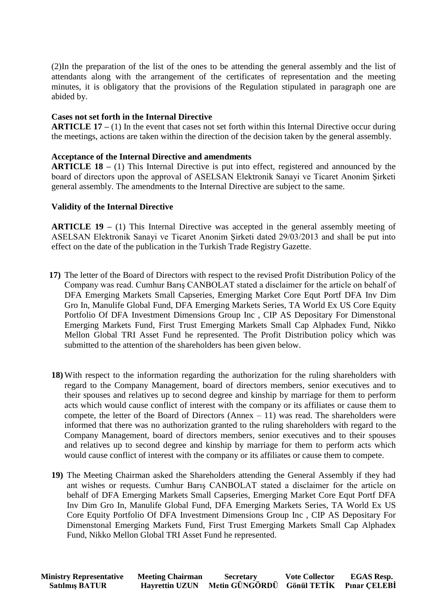(2)In the preparation of the list of the ones to be attending the general assembly and the list of attendants along with the arrangement of the certificates of representation and the meeting minutes, it is obligatory that the provisions of the Regulation stipulated in paragraph one are abided by.

## **Cases not set forth in the Internal Directive**

**ARTICLE 17** – (1) In the event that cases not set forth within this Internal Directive occur during the meetings, actions are taken within the direction of the decision taken by the general assembly.

## **Acceptance of the Internal Directive and amendments**

**ARTICLE 18 –** (1) This Internal Directive is put into effect, registered and announced by the board of directors upon the approval of ASELSAN Elektronik Sanayi ve Ticaret Anonim Şirketi general assembly. The amendments to the Internal Directive are subject to the same.

## **Validity of the Internal Directive**

**ARTICLE 19 –** (1) This Internal Directive was accepted in the general assembly meeting of ASELSAN Elektronik Sanayi ve Ticaret Anonim Şirketi dated 29/03/2013 and shall be put into effect on the date of the publication in the Turkish Trade Registry Gazette.

- **17)** The letter of the Board of Directors with respect to the revised Profit Distribution Policy of the Company was read. Cumhur Barış CANBOLAT stated a disclaimer for the article on behalf of DFA Emerging Markets Small Capseries, Emerging Market Core Equt Portf DFA Inv Dim Gro In, Manulife Global Fund, DFA Emerging Markets Series, TA World Ex US Core Equity Portfolio Of DFA Investment Dimensions Group Inc , CIP AS Depositary For Dimenstonal Emerging Markets Fund, First Trust Emerging Markets Small Cap Alphadex Fund, Nikko Mellon Global TRI Asset Fund he represented. The Profit Distribution policy which was submitted to the attention of the shareholders has been given below.
- **18)** With respect to the information regarding the authorization for the ruling shareholders with regard to the Company Management, board of directors members, senior executives and to their spouses and relatives up to second degree and kinship by marriage for them to perform acts which would cause conflict of interest with the company or its affiliates or cause them to compete, the letter of the Board of Directors  $(Annex - 11)$  was read. The shareholders were informed that there was no authorization granted to the ruling shareholders with regard to the Company Management, board of directors members, senior executives and to their spouses and relatives up to second degree and kinship by marriage for them to perform acts which would cause conflict of interest with the company or its affiliates or cause them to compete.
- **19)** The Meeting Chairman asked the Shareholders attending the General Assembly if they had ant wishes or requests. Cumhur Barış CANBOLAT stated a disclaimer for the article on behalf of DFA Emerging Markets Small Capseries, Emerging Market Core Equt Portf DFA Inv Dim Gro In, Manulife Global Fund, DFA Emerging Markets Series, TA World Ex US Core Equity Portfolio Of DFA Investment Dimensions Group Inc , CIP AS Depositary For Dimenstonal Emerging Markets Fund, First Trust Emerging Markets Small Cap Alphadex Fund, Nikko Mellon Global TRI Asset Fund he represented.

| <b>Ministry Representative</b> | <b>Meeting Chairman</b> | <b>Secretary</b>                        | <b>Vote Collector</b> | <b>EGAS Resp.</b> |
|--------------------------------|-------------------------|-----------------------------------------|-----------------------|-------------------|
| <b>Satılmış BATUR</b>          | <b>Hayrettin UZUN</b>   | Metin GÜNGÖRDÜ Gönül TETİK Pınar CELEBİ |                       |                   |